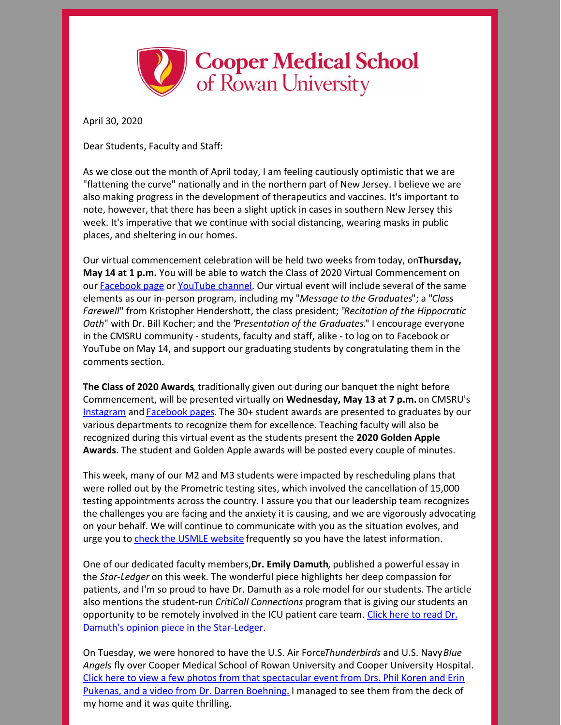

April 30, 2020

Dear Students, Faculty and Staff:

As we close out the month of April today, I am feeling cautiously optimistic that we are "flattening the curve" nationally and in the northern part of New Jersey. I believe we are also making progress in the development of therapeutics and vaccines. It's important to note, however, that there has been a slight uptick in cases in southern New Jersey this week. It's imperative that we continue with social distancing, wearing masks in public places, and sheltering in our homes.

Our virtual commencement celebration will be held two weeks from today, on**Thursday, May 14 at 1 p.m.** You will be able to watch the Class of 2020 Virtual Commencement on our [Facebook](https://www.facebook.com/coopermedschool/) page or [YouTube](https://www.youtube.com/channel/UCW6RhBsL8vHVHQfhPUjEmiQ) channel. Our virtual event will include several of the same elements as our in-person program, including my "*Message to the Graduates*"; a "*Class Farewell*" from Kristopher Hendershott, the class president; "*Recitation of the Hippocratic Oath*" with Dr. Bill Kocher; and the "*Presentation of the Graduates.*" I encourage everyone in the CMSRU community - students, faculty and staff, alike - to log on to Facebook or YouTube on May 14, and support our graduating students by congratulating them in the comments section.

**The Class of 2020 Awards**, traditionally given out during our banquet the night before Commencement, will be presented virtually on **Wednesday, May 13 at 7 p.m.** on CMSRU's [Instagram](https://www.instagram.com/cmsru/) and [Facebook](https://www.facebook.com/coopermedschool/) pages. The 30+ student awards are presented to graduates by our various departments to recognize them for excellence. Teaching faculty will also be recognized during this virtual event as the students present the **2020 Golden Apple Awards**. The student and Golden Apple awards will be posted every couple of minutes.

This week, many of our M2 and M3 students were impacted by rescheduling plans that were rolled out by the Prometric testing sites, which involved the cancellation of 15,000 testing appointments across the country. I assure you that our leadership team recognizes the challenges you are facing and the anxiety it is causing, and we are vigorously advocating on your behalf. We will continue to communicate with you as the situation evolves, and urge you to check the USMLE [website](https://usmle.org/) frequently so you have the latest information.

One of our dedicated faculty members,**Dr. Emily Damuth**, published a powerful essay in the *Star-Ledger* on this week. The wonderful piece highlights her deep compassion for patients, and I'm so proud to have Dr. Damuth as a role model for our students. The article also mentions the student-run *CritiCall Connections* program that is giving our students an [opportunity](https://www.nj.com/opinion/2020/04/we-hold-the-phone-and-we-cry.html?fbclid=IwAR3n0xvFBuYyYHWNh7A_0ivT3gbY2eB4D1l6uXD3vt7A6oXs889HZ8B2FG0) to be remotely involved in the ICU patient care team. Click here to read Dr. Damuth's opinion piece in the Star-Ledger.

On Tuesday, we were honored to have the U.S. Air Force*Thunderbirds* and U.S. Navy*Blue Angels* fly over Cooper Medical School of Rowan University and Cooper University Hospital. Click here to view a few photos from that [spectacular](https://www.flickr.com/photos/coopermedschool/albums/72157714108694472/with/49838835881/) event from Drs. Phil Koren and Erin Pukenas, and a video from Dr. Darren Boehning. I managed to see them from the deck of my home and it was quite thrilling.